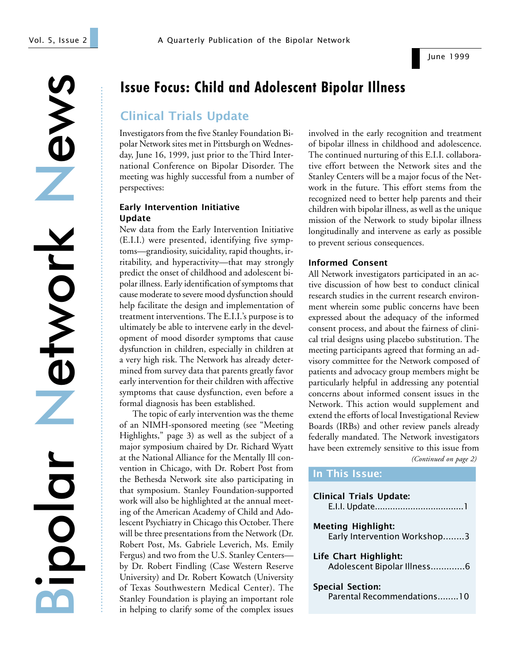June 1999

...............................................................................................................................................................................

# Issue Focus: Child and Adolescent Bipolar Illness

## Clinical Trials Update

Investigators from the five Stanley Foundation Bipolar Network sites met in Pittsburgh on Wednesday, June 16, 1999, just prior to the Third International Conference on Bipolar Disorder. The meeting was highly successful from a number of perspectives:

### Early Intervention Initiative Update

New data from the Early Intervention Initiative (E.I.I.) were presented, identifying five symptoms—grandiosity, suicidality, rapid thoughts, irritability, and hyperactivity—that may strongly predict the onset of childhood and adolescent bipolar illness. Early identification of symptoms that cause moderate to severe mood dysfunction should help facilitate the design and implementation of treatment interventions. The E.I.I.'s purpose is to ultimately be able to intervene early in the development of mood disorder symptoms that cause dysfunction in children, especially in children at a very high risk. The Network has already determined from survey data that parents greatly favor early intervention for their children with affective symptoms that cause dysfunction, even before a formal diagnosis has been established.

The topic of early intervention was the theme of an NIMH-sponsored meeting (see "Meeting Highlights," page 3) as well as the subject of a major symposium chaired by Dr. Richard Wyatt at the National Alliance for the Mentally Ill convention in Chicago, with Dr. Robert Post from the Bethesda Network site also participating in that symposium. Stanley Foundation-supported work will also be highlighted at the annual meeting of the American Academy of Child and Adolescent Psychiatry in Chicago this October. There will be three presentations from the Network (Dr. Robert Post, Ms. Gabriele Leverich, Ms. Emily Fergus) and two from the U.S. Stanley Centers by Dr. Robert Findling (Case Western Reserve University) and Dr. Robert Kowatch (University of Texas Southwestern Medical Center). The Stanley Foundation is playing an important role in helping to clarify some of the complex issues

involved in the early recognition and treatment of bipolar illness in childhood and adolescence. The continued nurturing of this E.I.I. collaborative effort between the Network sites and the Stanley Centers will be a major focus of the Network in the future. This effort stems from the recognized need to better help parents and their children with bipolar illness, as well as the unique mission of the Network to study bipolar illness longitudinally and intervene as early as possible to prevent serious consequences.

## Informed Consent

In This Issue:

All Network investigators participated in an active discussion of how best to conduct clinical research studies in the current research environment wherein some public concerns have been expressed about the adequacy of the informed consent process, and about the fairness of clinical trial designs using placebo substitution. The meeting participants agreed that forming an advisory committee for the Network composed of patients and advocacy group members might be particularly helpful in addressing any potential concerns about informed consent issues in the Network. This action would supplement and extend the efforts of local Investigational Review Boards (IRBs) and other review panels already federally mandated. The Network investigators have been extremely sensitive to this issue from

*(Continued on page 2)*

| <b>Clinical Trials Update:</b>                            |
|-----------------------------------------------------------|
| <b>Meeting Highlight:</b><br>Early Intervention Workshop3 |
| Life Chart Highlight:<br>Adolescent Bipolar Illness6      |
| <b>Special Section:</b><br>Parental Recommendations10     |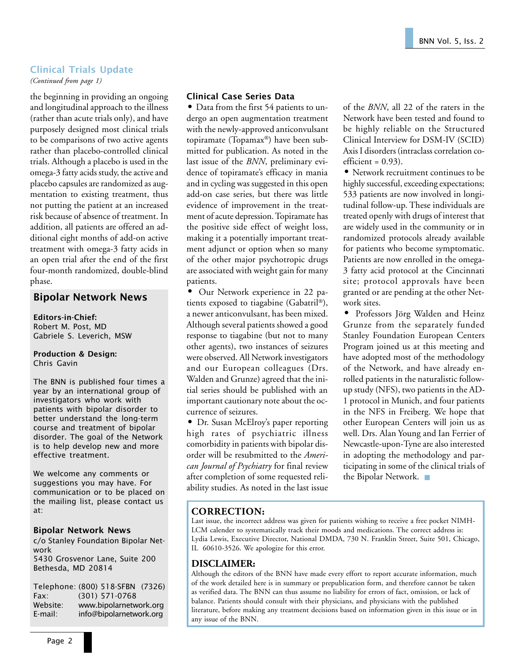## Clinical Trials Update

*(Continued from page 1)*

the beginning in providing an ongoing and longitudinal approach to the illness (rather than acute trials only), and have purposely designed most clinical trials to be comparisons of two active agents rather than placebo-controlled clinical trials. Although a placebo is used in the omega-3 fatty acids study, the active and placebo capsules are randomized as augmentation to existing treatment, thus not putting the patient at an increased risk because of absence of treatment. In addition, all patients are offered an additional eight months of add-on active treatment with omega-3 fatty acids in an open trial after the end of the first four-month randomized, double-blind phase.

## Bipolar Network News

Editors-in-Chief: Robert M. Post, MD Gabriele S. Leverich, MSW

#### Production & Design: Chris Gavin

The BNN is published four times a year by an international group of investigators who work with patients with bipolar disorder to better understand the long-term course and treatment of bipolar disorder. The goal of the Network is to help develop new and more effective treatment.

We welcome any comments or suggestions you may have. For communication or to be placed on the mailing list, please contact us at:

#### Bipolar Network News

c/o Stanley Foundation Bipolar Network 5430 Grosvenor Lane, Suite 200 Bethesda, MD 20814

Telephone: (800) 518-SFBN (7326) Fax: (301) 571-0768 Website: www.bipolarnetwork.org E-mail: info@bipolarnetwork.org

### Clinical Case Series Data

• Data from the first 54 patients to undergo an open augmentation treatment with the newly-approved anticonvulsant topiramate (Topamax®) have been submitted for publication. As noted in the last issue of the *BNN*, preliminary evidence of topiramate's efficacy in mania and in cycling was suggested in this open add-on case series, but there was little evidence of improvement in the treatment of acute depression. Topiramate has the positive side effect of weight loss, making it a potentially important treatment adjunct or option when so many of the other major psychotropic drugs are associated with weight gain for many patients.

• Our Network experience in 22 patients exposed to tiagabine (Gabatril®), a newer anticonvulsant, has been mixed. Although several patients showed a good response to tiagabine (but not to many other agents), two instances of seizures were observed. All Network investigators and our European colleagues (Drs. Walden and Grunze) agreed that the initial series should be published with an important cautionary note about the occurrence of seizures.

• Dr. Susan McElroy's paper reporting high rates of psychiatric illness comorbidity in patients with bipolar disorder will be resubmitted to the *American Journal of Psychiatry* for final review after completion of some requested reliability studies. As noted in the last issue of the *BNN*, all 22 of the raters in the Network have been tested and found to be highly reliable on the Structured Clinical Interview for DSM-IV (SCID) Axis I disorders (intraclass correlation co $efficient = 0.93$ ).

• Network recruitment continues to be highly successful, exceeding expectations; 533 patients are now involved in longitudinal follow-up. These individuals are treated openly with drugs of interest that are widely used in the community or in randomized protocols already available for patients who become symptomatic. Patients are now enrolled in the omega-3 fatty acid protocol at the Cincinnati site; protocol approvals have been granted or are pending at the other Network sites.

• Professors Jörg Walden and Heinz Grunze from the separately funded Stanley Foundation European Centers Program joined us at this meeting and have adopted most of the methodology of the Network, and have already enrolled patients in the naturalistic followup study (NFS), two patients in the AD-1 protocol in Munich, and four patients in the NFS in Freiberg. We hope that other European Centers will join us as well. Drs. Alan Young and Ian Ferrier of Newcastle-upon-Tyne are also interested in adopting the methodology and participating in some of the clinical trials of the Bipolar Network. ■

## **CORRECTION:**

Last issue, the incorrect address was given for patients wishing to receive a free pocket NIMH-LCM calender to systematically track their moods and medications. The correct address is: Lydia Lewis, Executive Director, National DMDA, 730 N. Franklin Street, Suite 501, Chicago, IL 60610-3526. We apologize for this error.

#### **DISCLAIMER:**

Although the editors of the BNN have made every effort to report accurate information, much of the work detailed here is in summary or prepublication form, and therefore cannot be taken as verified data. The BNN can thus assume no liability for errors of fact, omission, or lack of balance. Patients should consult with their physicians, and physicians with the published literature, before making any treatment decisions based on information given in this issue or in any issue of the BNN.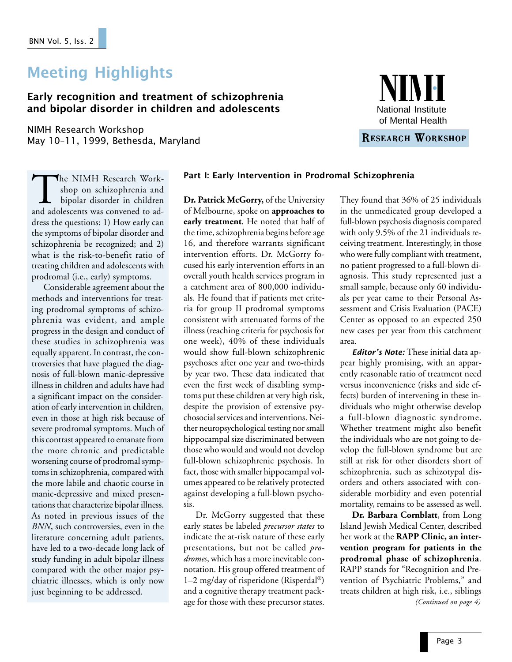# Meeting Highlights

## Early recognition and treatment of schizophrenia and bipolar disorder in children and adolescents

NIMH Research Workshop May 10-11, 1999, Bethesda, Maryland



RESEARCH WORKSHOP

shop on schizophrenia and bipolar disorder in children and adolescents was convened to address the questions: 1) How early can the symptoms of bipolar disorder and schizophrenia be recognized; and 2) what is the risk-to-benefit ratio of treating children and adolescents with prodromal (i.e., early) symptoms.

Considerable agreement about the methods and interventions for treating prodromal symptoms of schizophrenia was evident, and ample progress in the design and conduct of these studies in schizophrenia was equally apparent. In contrast, the controversies that have plagued the diagnosis of full-blown manic-depressive illness in children and adults have had a significant impact on the consideration of early intervention in children, even in those at high risk because of severe prodromal symptoms. Much of this contrast appeared to emanate from the more chronic and predictable worsening course of prodromal symptoms in schizophrenia, compared with the more labile and chaotic course in manic-depressive and mixed presentations that characterize bipolar illness. As noted in previous issues of the *BNN*, such controversies, even in the literature concerning adult patients, have led to a two-decade long lack of study funding in adult bipolar illness compared with the other major psychiatric illnesses, which is only now just beginning to be addressed.

## $\blacktriangleleft$ he NIMH Research Work-**Part I: Early Intervention in Prodromal Schizophrenia**

**Dr. Patrick McGorry,** of the University of Melbourne, spoke on **approaches to** early treatment. He noted that half of the time, schizophrenia begins before age 16, and therefore warrants significant intervention efforts. Dr. McGorry focused his early intervention efforts in an overall youth health services program in a catchment area of 800,000 individuals. He found that if patients met criteria for group II prodromal symptoms consistent with attenuated forms of the illness (reaching criteria for psychosis for one week), 40% of these individuals would show full-blown schizophrenic psychoses after one year and two-thirds by year two. These data indicated that even the first week of disabling symptoms put these children at very high risk, despite the provision of extensive psychosocial services and interventions. Neither neuropsychological testing nor small hippocampal size discriminated between those who would and would not develop full-blown schizophrenic psychosis. In fact, those with smaller hippocampal volumes appeared to be relatively protected against developing a full-blown psychosis.

Dr. McGorry suggested that these early states be labeled *precursor states* to indicate the at-risk nature of these early presentations, but not be called *prodromes*, which has a more inevitable connotation. His group offered treatment of 1–2 mg/day of risperidone (Risperdal®) and a cognitive therapy treatment package for those with these precursor states.

They found that 36% of 25 individuals in the unmedicated group developed a full-blown psychosis diagnosis compared with only 9.5% of the 21 individuals receiving treatment. Interestingly, in those who were fully compliant with treatment, no patient progressed to a full-blown diagnosis. This study represented just a small sample, because only 60 individuals per year came to their Personal Assessment and Crisis Evaluation (PACE) Center as opposed to an expected 250 new cases per year from this catchment area.

**Editor's Note:** These initial data appear highly promising, with an apparently reasonable ratio of treatment need versus inconvenience (risks and side effects) burden of intervening in these individuals who might otherwise develop a full-blown diagnostic syndrome. Whether treatment might also benefit the individuals who are not going to develop the full-blown syndrome but are still at risk for other disorders short of schizophrenia, such as schizotypal disorders and others associated with considerable morbidity and even potential mortality, remains to be assessed as well.

**Dr. Barbara Cornblatt**, from Long Island Jewish Medical Center, described her work at the **RAPP Clinic, an intervention program for patients in the prodromal phase of schizophrenia**. RAPP stands for "Recognition and Prevention of Psychiatric Problems," and treats children at high risk, i.e., siblings *(Continued on page 4)*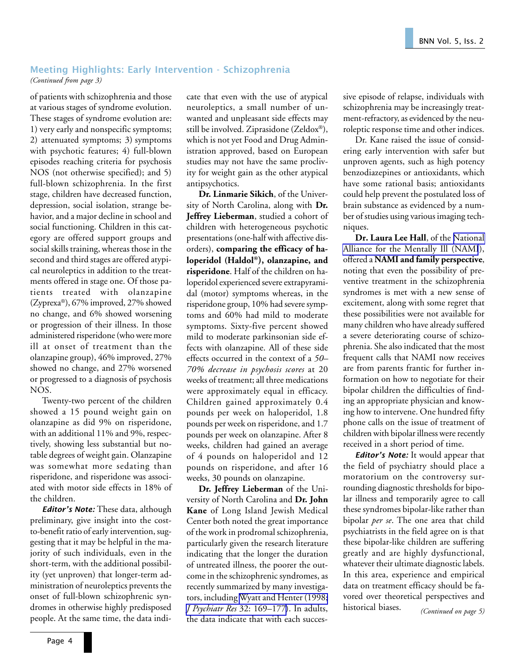## Meeting Highlights: Early Intervention - Schizophrenia *(Continued from page 3)*

of patients with schizophrenia and those at various stages of syndrome evolution. These stages of syndrome evolution are: 1) very early and nonspecific symptoms; 2) attenuated symptoms; 3) symptoms with psychotic features; 4) full-blown episodes reaching criteria for psychosis NOS (not otherwise specified); and 5) full-blown schizophrenia. In the first stage, children have decreased function, depression, social isolation, strange behavior, and a major decline in school and social functioning. Children in this category are offered support groups and social skills training, whereas those in the second and third stages are offered atypical neuroleptics in addition to the treatments offered in stage one. Of those patients treated with olanzapine (Zyprexa®), 67% improved, 27% showed no change, and 6% showed worsening or progression of their illness. In those administered risperidone (who were more ill at onset of treatment than the olanzapine group), 46% improved, 27% showed no change, and 27% worsened or progressed to a diagnosis of psychosis NOS.

Twenty-two percent of the children showed a 15 pound weight gain on olanzapine as did 9% on risperidone, with an additional 11% and 9%, respectively, showing less substantial but notable degrees of weight gain. Olanzapine was somewhat more sedating than risperidone, and risperidone was associated with motor side effects in 18% of the children.

Editor's Note: These data, although preliminary, give insight into the costto-benefit ratio of early intervention, suggesting that it may be helpful in the majority of such individuals, even in the short-term, with the additional possibility (yet unproven) that longer-term administration of neuroleptics prevents the onset of full-blown schizophrenic syndromes in otherwise highly predisposed people. At the same time, the data indicate that even with the use of atypical neuroleptics, a small number of unwanted and unpleasant side effects may still be involved. Ziprasidone (Zeldox®), which is not yet Food and Drug Administration approved, based on European studies may not have the same proclivity for weight gain as the other atypical antipsychotics.

**Dr. Linmarie Sikich**, of the University of North Carolina, along with **Dr. Jeffrey Lieberman**, studied a cohort of children with heterogeneous psychotic presentations (one-half with affective disorders), **comparing the efficacy of haloperidol (Haldol®), olanzapine, and risperidone**. Half of the children on haloperidol experienced severe extrapyramidal (motor) symptoms whereas, in the risperidone group, 10% had severe symptoms and 60% had mild to moderate symptoms. Sixty-five percent showed mild to moderate parkinsonian side effects with olanzapine. All of these side effects occurred in the context of a *50– 70% decrease in psychosis scores* at 20 weeks of treatment; all three medications were approximately equal in efficacy. Children gained approximately 0.4 pounds per week on haloperidol, 1.8 pounds per week on risperidone, and 1.7 pounds per week on olanzapine. After 8 weeks, children had gained an average of 4 pounds on haloperidol and 12 pounds on risperidone, and after 16 weeks, 30 pounds on olanzapine.

**Dr. Jeffrey Lieberman** of the University of North Carolina and **Dr. John Kane** of Long Island Jewish Medical Center both noted the great importance of the work in prodromal schizophrenia, particularly given the research literature indicating that the longer the duration of untreated illness, the poorer the outcome in the schizophrenic syndromes, as recently summarized by many investigators, including [Wyatt and Henter \(1998;](http://www.ncbi.nlm.nih.gov:80/entrez/query.fcgi?cmd=Retrieve&db=PubMed&list_uids=9793870&dopt=Abstract) *[J Psychiatr Res](http://www.ncbi.nlm.nih.gov:80/entrez/query.fcgi?cmd=Retrieve&db=PubMed&list_uids=9793870&dopt=Abstract)* 32: 169–177). In adults, the data indicate that with each successive episode of relapse, individuals with schizophrenia may be increasingly treatment-refractory, as evidenced by the neuroleptic response time and other indices.

Dr. Kane raised the issue of considering early intervention with safer but unproven agents, such as high potency benzodiazepines or antioxidants, which have some rational basis; antioxidants could help prevent the postulated loss of brain substance as evidenced by a number of studies using various imaging techniques.

**Dr. Laura Lee Hall**, of the [National](http://www.nami.org/) [Alliance for the Mentally Ill \(NAMI](http://www.nami.org/)), offered a **NAMI and family perspective**, noting that even the possibility of preventive treatment in the schizophrenia syndromes is met with a new sense of excitement, along with some regret that these possibilities were not available for many children who have already suffered a severe deteriorating course of schizophrenia. She also indicated that the most frequent calls that NAMI now receives are from parents frantic for further information on how to negotiate for their bipolar children the difficulties of finding an appropriate physician and knowing how to intervene. One hundred fifty phone calls on the issue of treatment of children with bipolar illness were recently received in a short period of time.

Editor's Note: It would appear that the field of psychiatry should place a moratorium on the controversy surrounding diagnostic thresholds for bipolar illness and temporarily agree to call these syndromes bipolar-like rather than bipolar *per se*. The one area that child psychiatrists in the field agree on is that these bipolar-like children are suffering greatly and are highly dysfunctional, whatever their ultimate diagnostic labels. In this area, experience and empirical data on treatment efficacy should be favored over theoretical perspectives and historical biases. *(Continued on page 5)*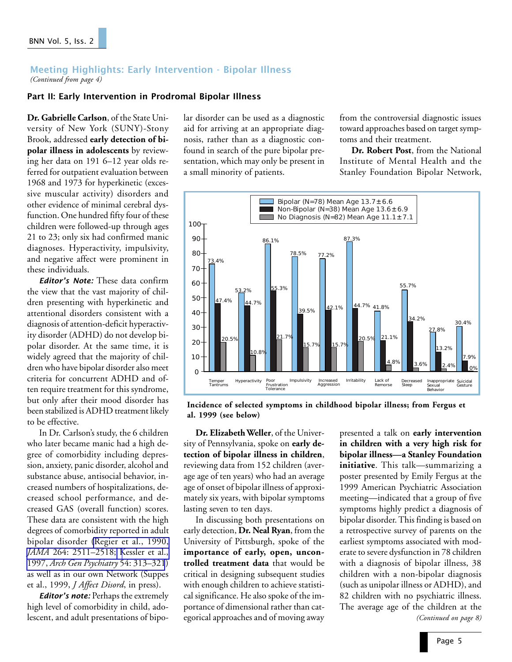### Meeting Highlights: Early Intervention - Bipolar Illness *(Continued from page 4)*

### Part II: Early Intervention in Prodromal Bipolar Illness

**Dr. Gabrielle Carlson**, of the State University of New York (SUNY)-Stony Brook, addressed **early detection of bipolar illness in adolescents** by reviewing her data on 191 6–12 year olds referred for outpatient evaluation between 1968 and 1973 for hyperkinetic (excessive muscular activity) disorders and other evidence of minimal cerebral dysfunction. One hundred fifty four of these children were followed-up through ages 21 to 23; only six had confirmed manic diagnoses. Hyperactivity, impulsivity, and negative affect were prominent in these individuals.

**Editor's Note:** These data confirm the view that the vast majority of children presenting with hyperkinetic and attentional disorders consistent with a diagnosis of attention-deficit hyperactivity disorder (ADHD) do not develop bipolar disorder. At the same time, it is widely agreed that the majority of children who have bipolar disorder also meet criteria for concurrent ADHD and often require treatment for this syndrome, but only after their mood disorder has been stabilized is ADHD treatment likely to be effective.

In Dr. Carlson's study, the 6 children who later became manic had a high degree of comorbidity including depression, anxiety, panic disorder, alcohol and substance abuse, antisocial behavior, increased numbers of hospitalizations, decreased school performance, and decreased GAS (overall function) scores. These data are consistent with the high degrees of comorbidity reported in adult bipolar disorder [\(Regier et al., 1990,](http://www.ncbi.nlm.nih.gov:80/entrez/query.fcgi?cmd=Retrieve&db=PubMed&list_uids=2232018&dopt=Abstract) *JAMA* [264: 2511–2518;](http://www.ncbi.nlm.nih.gov:80/entrez/query.fcgi?cmd=Retrieve&db=PubMed&list_uids=2232018&dopt=Abstract) [Kessler et al.,](http://www.ncbi.nlm.nih.gov:80/entrez/query.fcgi?cmd=Retrieve&db=PubMed&list_uids=9107147&dopt=Abstract) 1997, *[Arch Gen Psychiatry](http://www.ncbi.nlm.nih.gov:80/entrez/query.fcgi?cmd=Retrieve&db=PubMed&list_uids=9107147&dopt=Abstract)* 54: 313–321) as well as in our own Network (Suppes et al., 1999, *J Affect Disord*, in press).

**Editor's note:** Perhaps the extremely high level of comorbidity in child, adolescent, and adult presentations of bipolar disorder can be used as a diagnostic aid for arriving at an appropriate diagnosis, rather than as a diagnostic confound in search of the pure bipolar presentation, which may only be present in a small minority of patients.

from the controversial diagnostic issues toward approaches based on target symptoms and their treatment.

**Dr. Robert Post**, from the National Institute of Mental Health and the Stanley Foundation Bipolar Network,



**Incidence of selected symptoms in childhood bipolar illness; from Fergus et al. 1999 (see below)**

**Dr. Elizabeth Weller**, of the University of Pennsylvania, spoke on **early detection of bipolar illness in children**, reviewing data from 152 children (average age of ten years) who had an average age of onset of bipolar illness of approximately six years, with bipolar symptoms lasting seven to ten days.

In discussing both presentations on early detection, **Dr. Neal Ryan**, from the University of Pittsburgh, spoke of the **importance of early, open, uncontrolled treatment data** that would be critical in designing subsequent studies with enough children to achieve statistical significance. He also spoke of the importance of dimensional rather than categorical approaches and of moving away

presented a talk on **early intervention in children with a very high risk for bipolar illness—a Stanley Foundation initiative**. This talk—summarizing a poster presented by Emily Fergus at the 1999 American Psychiatric Association meeting—indicated that a group of five symptoms highly predict a diagnosis of bipolar disorder. This finding is based on a retrospective survey of parents on the earliest symptoms associated with moderate to severe dysfunction in 78 children with a diagnosis of bipolar illness, 38 children with a non-bipolar diagnosis (such as unipolar illness or ADHD), and 82 children with no psychiatric illness. The average age of the children at the *(Continued on page 8)*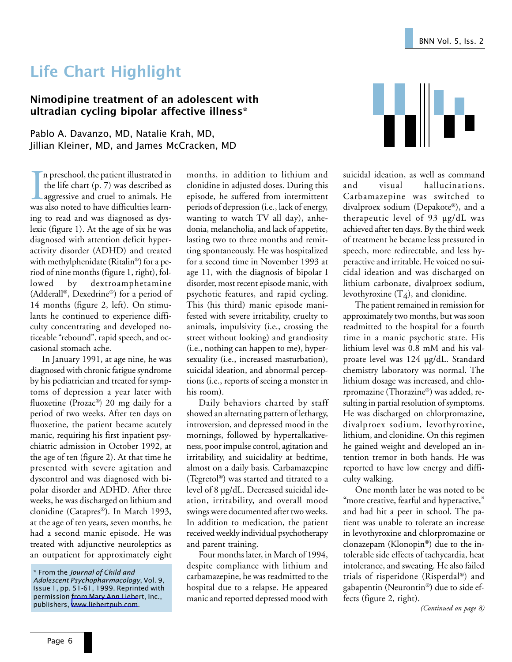# Life Chart Highlight

## Nimodipine treatment of an adolescent with ultradian cycling bipolar affective illness\*

Pablo A. Davanzo, MD, Natalie Krah, MD, Jillian Kleiner, MD, and James McCracken, MD

In preschool, the patient illustrated in<br>the life chart (p. 7) was described as<br>aggressive and cruel to animals. He<br>was also noted to have difficulties learnn preschool, the patient illustrated in the life chart (p. 7) was described as **L** aggressive and cruel to animals. He ing to read and was diagnosed as dyslexic (figure 1). At the age of six he was diagnosed with attention deficit hyperactivity disorder (ADHD) and treated with methylphenidate (Ritalin®) for a period of nine months (figure 1, right), followed by dextroamphetamine (Adderall®, Dexedrine®) for a period of 14 months (figure 2, left). On stimulants he continued to experience difficulty concentrating and developed noticeable "rebound", rapid speech, and occasional stomach ache.

In January 1991, at age nine, he was diagnosed with chronic fatigue syndrome by his pediatrician and treated for symptoms of depression a year later with fluoxetine (Prozac®) 20 mg daily for a period of two weeks. After ten days on fluoxetine, the patient became acutely manic, requiring his first inpatient psychiatric admission in October 1992, at the age of ten (figure 2). At that time he presented with severe agitation and dyscontrol and was diagnosed with bipolar disorder and ADHD. After three weeks, he was discharged on lithium and clonidine (Catapres®). In March 1993, at the age of ten years, seven months, he had a second manic episode. He was treated with adjunctive neuroleptics as an outpatient for approximately eight months, in addition to lithium and clonidine in adjusted doses. During this episode, he suffered from intermittent periods of depression (i.e., lack of energy, wanting to watch TV all day), anhedonia, melancholia, and lack of appetite, lasting two to three months and remitting spontaneously. He was hospitalized for a second time in November 1993 at age 11, with the diagnosis of bipolar I disorder, most recent episode manic, with psychotic features, and rapid cycling. This (his third) manic episode manifested with severe irritability, cruelty to animals, impulsivity (i.e., crossing the street without looking) and grandiosity (i.e., nothing can happen to me), hypersexuality (i.e., increased masturbation), suicidal ideation, and abnormal perceptions (i.e., reports of seeing a monster in his room).

Daily behaviors charted by staff showed an alternating pattern of lethargy, introversion, and depressed mood in the mornings, followed by hypertalkativeness, poor impulse control, agitation and irritability, and suicidality at bedtime, almost on a daily basis. Carbamazepine (Tegretol®) was started and titrated to a level of 8 µg/dL. Decreased suicidal ideation, irritability, and overall mood swings were documented after two weeks. In addition to medication, the patient received weekly individual psychotherapy and parent training.

Four months later, in March of 1994, despite compliance with lithium and carbamazepine, he was readmitted to the hospital due to a relapse. He appeared manic and reported depressed mood with



suicidal ideation, as well as command and visual hallucinations. Carbamazepine was switched to divalproex sodium (Depakote®), and a therapeutic level of 93 µg/dL was achieved after ten days. By the third week of treatment he became less pressured in speech, more redirectable, and less hyperactive and irritable. He voiced no suicidal ideation and was discharged on lithium carbonate, divalproex sodium, levothyroxine  $(T_4)$ , and clonidine.

The patient remained in remission for approximately two months, but was soon readmitted to the hospital for a fourth time in a manic psychotic state. His lithium level was 0.8 mM and his valproate level was 124 µg/dL. Standard chemistry laboratory was normal. The lithium dosage was increased, and chlorpromazine (Thorazine®) was added, resulting in partial resolution of symptoms. He was discharged on chlorpromazine, divalproex sodium, levothyroxine, lithium, and clonidine. On this regimen he gained weight and developed an intention tremor in both hands. He was reported to have low energy and difficulty walking.

One month later he was noted to be "more creative, fearful and hyperactive," and had hit a peer in school. The patient was unable to tolerate an increase in levothyroxine and chlorpromazine or clonazepam (Klonopin®) due to the intolerable side effects of tachycardia, heat intolerance, and sweating. He also failed trials of risperidone (Risperdal®) and gabapentin (Neurontin®) due to side effects (figure 2, right).

*(Continued on page 8)*

<sup>\*</sup> From the Journal of Child and Adolescent Psychopharmacology, Vol. 9, Issue 1, pp. 51-61, 1999. Reprinted with permission from Mary Ann Liebert, Inc., publishers, [www.liebertpub.com.](http://www.liebertpub.com/cap/default.htm)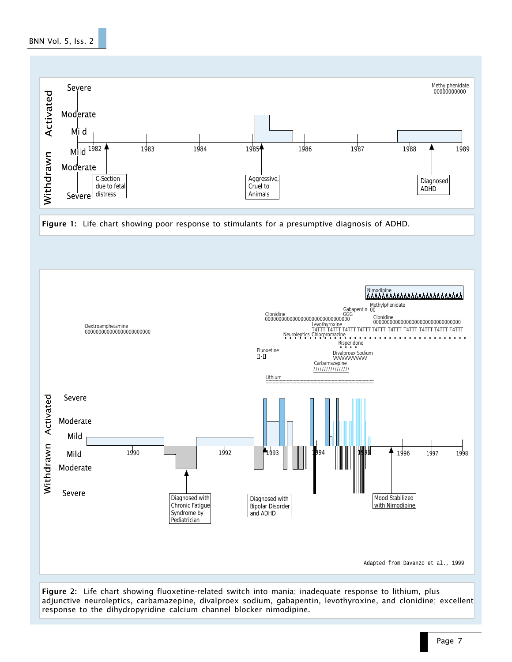## BNN Vol. 5, Iss. 2







Figure 2: Life chart showing fluoxetine-related switch into mania; inadequate response to lithium, plus adjunctive neuroleptics, carbamazepine, divalproex sodium, gabapentin, levothyroxine, and clonidine; excellent response to the dihydropyridine calcium channel blocker nimodipine.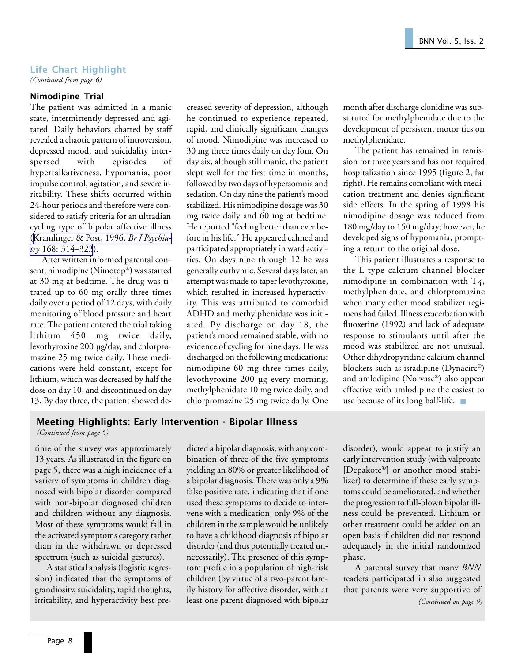## Life Chart Highlight

*(Continued from page 6)*

#### Nimodipine Trial

The patient was admitted in a manic state, intermittently depressed and agitated. Daily behaviors charted by staff revealed a chaotic pattern of introversion, depressed mood, and suicidality interspersed with episodes of hypertalkativeness, hypomania, poor impulse control, agitation, and severe irritability. These shifts occurred within 24-hour periods and therefore were considered to satisfy criteria for an ultradian cycling type of bipolar affective illness ([Kramlinger & Post, 1996,](http://www.ncbi.nlm.nih.gov:80/entrez/query.fcgi?cmd=Retrieve&db=PubMed&list_uids=8833685&dopt=Abstract) *Br J Psychiatry* [168: 314–323](http://www.ncbi.nlm.nih.gov:80/entrez/query.fcgi?cmd=Retrieve&db=PubMed&list_uids=8833685&dopt=Abstract)).

After written informed parental consent, nimodipine (Nimotop®) was started at 30 mg at bedtime. The drug was titrated up to 60 mg orally three times daily over a period of 12 days, with daily monitoring of blood pressure and heart rate. The patient entered the trial taking lithium 450 mg twice daily, levothyroxine 200 µg/day, and chlorpromazine 25 mg twice daily. These medications were held constant, except for lithium, which was decreased by half the dose on day 10, and discontinued on day 13. By day three, the patient showed decreased severity of depression, although he continued to experience repeated, rapid, and clinically significant changes of mood. Nimodipine was increased to 30 mg three times daily on day four. On day six, although still manic, the patient slept well for the first time in months, followed by two days of hypersomnia and sedation. On day nine the patient's mood stabilized. His nimodipine dosage was 30 mg twice daily and 60 mg at bedtime. He reported "feeling better than ever before in his life." He appeared calmed and participated appropriately in ward activities. On days nine through 12 he was generally euthymic. Several days later, an attempt was made to taper levothyroxine, which resulted in increased hyperactivity. This was attributed to comorbid ADHD and methylphenidate was initiated. By discharge on day 18, the patient's mood remained stable, with no evidence of cycling for nine days. He was discharged on the following medications: nimodipine 60 mg three times daily, levothyroxine 200 µg every morning, methylphenidate 10 mg twice daily, and chlorpromazine 25 mg twice daily. One month after discharge clonidine was substituted for methylphenidate due to the development of persistent motor tics on methylphenidate.

The patient has remained in remission for three years and has not required hospitalization since 1995 (figure 2, far right). He remains compliant with medication treatment and denies significant side effects. In the spring of 1998 his nimodipine dosage was reduced from 180 mg/day to 150 mg/day; however, he developed signs of hypomania, prompting a return to the original dose.

This patient illustrates a response to the L-type calcium channel blocker nimodipine in combination with  $T_4$ , methylphenidate, and chlorpromazine when many other mood stabilizer regimens had failed. Illness exacerbation with fluoxetine (1992) and lack of adequate response to stimulants until after the mood was stabilized are not unusual. Other dihydropyridine calcium channel blockers such as isradipine (Dynacirc®) and amlodipine (Norvasc®) also appear effective with amlodipine the easiest to use because of its long half-life. ■

## Meeting Highlights: Early Intervention - Bipolar Illness

*(Continued from page 5)*

time of the survey was approximately 13 years. As illustrated in the figure on page 5, there was a high incidence of a variety of symptoms in children diagnosed with bipolar disorder compared with non-bipolar diagnosed children and children without any diagnosis. Most of these symptoms would fall in the activated symptoms category rather than in the withdrawn or depressed spectrum (such as suicidal gestures).

A statistical analysis (logistic regression) indicated that the symptoms of grandiosity, suicidality, rapid thoughts, irritability, and hyperactivity best predicted a bipolar diagnosis, with any combination of three of the five symptoms yielding an 80% or greater likelihood of a bipolar diagnosis. There was only a 9% false positive rate, indicating that if one used these symptoms to decide to intervene with a medication, only 9% of the children in the sample would be unlikely to have a childhood diagnosis of bipolar disorder (and thus potentially treated unnecessarily). The presence of this symptom profile in a population of high-risk children (by virtue of a two-parent family history for affective disorder, with at least one parent diagnosed with bipolar

disorder), would appear to justify an early intervention study (with valproate [Depakote®] or another mood stabilizer) to determine if these early symptoms could be ameliorated, and whether the progression to full-blown bipolar illness could be prevented. Lithium or other treatment could be added on an open basis if children did not respond adequately in the initial randomized phase.

*(Continued on page 9)* A parental survey that many *BNN* readers participated in also suggested that parents were very supportive of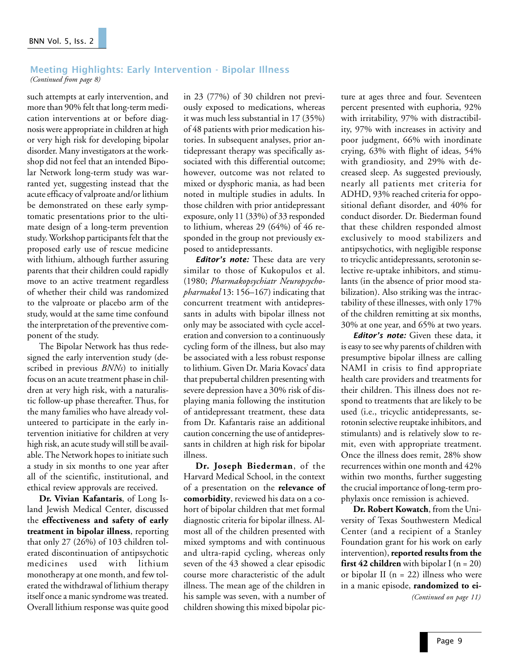#### Meeting Highlights: Early Intervention - Bipolar Illness *(Continued from page 8)*

such attempts at early intervention, and more than 90% felt that long-term medication interventions at or before diagnosis were appropriate in children at high or very high risk for developing bipolar disorder. Many investigators at the workshop did not feel that an intended Bipolar Network long-term study was warranted yet, suggesting instead that the acute efficacy of valproate and/or lithium be demonstrated on these early symptomatic presentations prior to the ultimate design of a long-term prevention study. Workshop participants felt that the proposed early use of rescue medicine with lithium, although further assuring parents that their children could rapidly move to an active treatment regardless of whether their child was randomized to the valproate or placebo arm of the study, would at the same time confound the interpretation of the preventive component of the study.

The Bipolar Network has thus redesigned the early intervention study (described in previous *BNNs*) to initially focus on an acute treatment phase in children at very high risk, with a naturalistic follow-up phase thereafter. Thus, for the many families who have already volunteered to participate in the early intervention initiative for children at very high risk, an acute study will still be available. The Network hopes to initiate such a study in six months to one year after all of the scientific, institutional, and ethical review approvals are received.

**Dr. Vivian Kafantaris**, of Long Island Jewish Medical Center, discussed the **effectiveness and safety of early treatment in bipolar illness**, reporting that only 27 (26%) of 103 children tolerated discontinuation of antipsychotic medicines used with lithium monotherapy at one month, and few tolerated the withdrawal of lithium therapy itself once a manic syndrome was treated. Overall lithium response was quite good

in 23 (77%) of 30 children not previously exposed to medications, whereas it was much less substantial in 17 (35%) of 48 patients with prior medication histories. In subsequent analyses, prior antidepressant therapy was specifically associated with this differential outcome; however, outcome was not related to mixed or dysphoric mania, as had been noted in multiple studies in adults. In those children with prior antidepressant exposure, only 11 (33%) of 33 responded to lithium, whereas 29 (64%) of 46 responded in the group not previously exposed to antidepressants.

**Editor's note:** These data are very similar to those of Kukopulos et al. (1980; *Pharmakopsychiatr Neuropsychopharmakol* 13: 156–167) indicating that concurrent treatment with antidepressants in adults with bipolar illness not only may be associated with cycle acceleration and conversion to a continuously cycling form of the illness, but also may be associated with a less robust response to lithium. Given Dr. Maria Kovacs' data that prepubertal children presenting with severe depression have a 30% risk of displaying mania following the institution of antidepressant treatment, these data from Dr. Kafantaris raise an additional caution concerning the use of antidepressants in children at high risk for bipolar illness.

**Dr. Joseph Biederman**, of the Harvard Medical School, in the context of a presentation on the **relevance of comorbidity**, reviewed his data on a cohort of bipolar children that met formal diagnostic criteria for bipolar illness. Almost all of the children presented with mixed symptoms and with continuous and ultra-rapid cycling, whereas only seven of the 43 showed a clear episodic course more characteristic of the adult illness. The mean age of the children in his sample was seven, with a number of children showing this mixed bipolar picture at ages three and four. Seventeen percent presented with euphoria, 92% with irritability, 97% with distractibility, 97% with increases in activity and poor judgment, 66% with inordinate crying, 63% with flight of ideas, 54% with grandiosity, and 29% with decreased sleep. As suggested previously, nearly all patients met criteria for ADHD, 93% reached criteria for oppositional defiant disorder, and 40% for conduct disorder. Dr. Biederman found that these children responded almost exclusively to mood stabilizers and antipsychotics, with negligible response to tricyclic antidepressants, serotonin selective re-uptake inhibitors, and stimulants (in the absence of prior mood stabilization). Also striking was the intractability of these illnesses, with only 17% of the children remitting at six months, 30% at one year, and 65% at two years.

**Editor's note:** Given these data, it is easy to see why parents of children with presumptive bipolar illness are calling NAMI in crisis to find appropriate health care providers and treatments for their children. This illness does not respond to treatments that are likely to be used (i.e., tricyclic antidepressants, serotonin selective reuptake inhibitors, and stimulants) and is relatively slow to remit, even with appropriate treatment. Once the illness does remit, 28% show recurrences within one month and 42% within two months, further suggesting the crucial importance of long-term prophylaxis once remission is achieved.

**Dr. Robert Kowatch**, from the University of Texas Southwestern Medical Center (and a recipient of a Stanley Foundation grant for his work on early intervention), **reported results from the first 42 children** with bipolar I ( $n = 20$ ) or bipolar II ( $n = 22$ ) illness who were in a manic episode, **randomized to ei-** *(Continued on page 11)*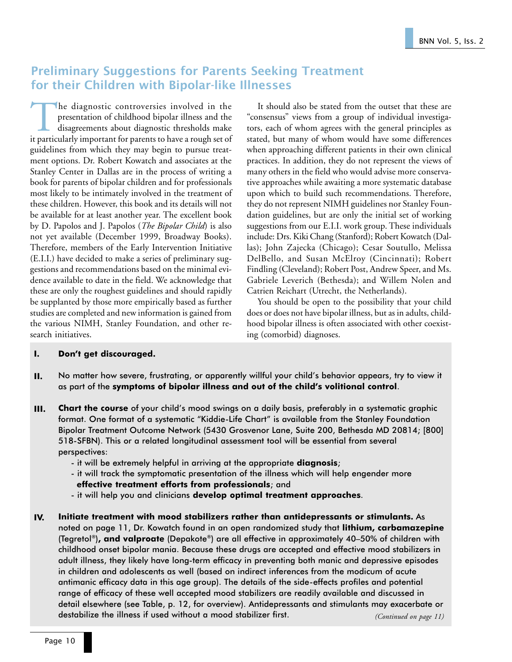## Preliminary Suggestions for Parents Seeking Treatment for their Children with Bipolar-like Illnesses

The diagnostic controversies involved in the presentation of childhood bipolar illness and the disagreements about diagnostic thresholds make it particularly important for parents to have a rough set of presentation of childhood bipolar illness and the disagreements about diagnostic thresholds make guidelines from which they may begin to pursue treatment options. Dr. Robert Kowatch and associates at the Stanley Center in Dallas are in the process of writing a book for parents of bipolar children and for professionals most likely to be intimately involved in the treatment of these children. However, this book and its details will not be available for at least another year. The excellent book by D. Papolos and J. Papolos (*The Bipolar Child*) is also not yet available (December 1999, Broadway Books). Therefore, members of the Early Intervention Initiative (E.I.I.) have decided to make a series of preliminary suggestions and recommendations based on the minimal evidence available to date in the field. We acknowledge that these are only the roughest guidelines and should rapidly be supplanted by those more empirically based as further studies are completed and new information is gained from the various NIMH, Stanley Foundation, and other research initiatives.

It should also be stated from the outset that these are "consensus" views from a group of individual investigators, each of whom agrees with the general principles as stated, but many of whom would have some differences when approaching different patients in their own clinical practices. In addition, they do not represent the views of many others in the field who would advise more conservative approaches while awaiting a more systematic database upon which to build such recommendations. Therefore, they do not represent NIMH guidelines nor Stanley Foundation guidelines, but are only the initial set of working suggestions from our E.I.I. work group. These individuals include: Drs. Kiki Chang (Stanford); Robert Kowatch (Dallas); John Zajecka (Chicago); Cesar Soutullo, Melissa DelBello, and Susan McElroy (Cincinnati); Robert Findling (Cleveland); Robert Post, Andrew Speer, and Ms. Gabriele Leverich (Bethesda); and Willem Nolen and Catrien Reichart (Utrecht, the Netherlands).

You should be open to the possibility that your child does or does not have bipolar illness, but as in adults, childhood bipolar illness is often associated with other coexisting (comorbid) diagnoses.

## I. Don't get discouraged.

- II. No matter how severe, frustrating, or apparently willful your child's behavior appears, try to view it as part of the symptoms of bipolar illness and out of the child's volitional control.
- III. Chart the course of your child's mood swings on a daily basis, preferably in a systematic graphic format. One format of a systematic "Kiddie-Life Chart" is available from the Stanley Foundation Bipolar Treatment Outcome Network (5430 Grosvenor Lane, Suite 200, Bethesda MD 20814; [800] 518-SFBN). This or a related longitudinal assessment tool will be essential from several perspectives:
	- it will be extremely helpful in arriving at the appropriate **diagnosis**;
	- it will track the symptomatic presentation of the illness which will help engender more effective treatment efforts from professionals; and
	- it will help you and clinicians develop optimal treatment approaches.
- IV. Initiate treatment with mood stabilizers rather than antidepressants or stimulants. As noted on page 11, Dr. Kowatch found in an open randomized study that lithium, carbamazepine (Tegretol®), and valproate (Depakote®) are all effective in approximately 40-50% of children with childhood onset bipolar mania. Because these drugs are accepted and effective mood stabilizers in adult illness, they likely have long-term efficacy in preventing both manic and depressive episodes in children and adolescents as well (based on indirect inferences from the modicum of acute antimanic efficacy data in this age group). The details of the side-effects profiles and potential range of efficacy of these well accepted mood stabilizers are readily available and discussed in detail elsewhere (see Table, p. 12, for overview). Antidepressants and stimulants may exacerbate or destabilize the illness if used without a mood stabilizer first. *(Continued on page 11)*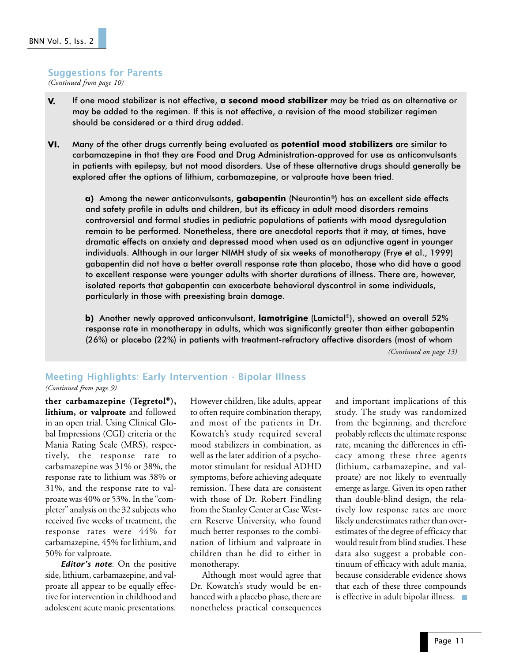#### Suggestions for Parents

*(Continued from page 10)*

- V. If one mood stabilizer is not effective, a second mood stabilizer may be tried as an alternative or may be added to the regimen. If this is not effective, a revision of the mood stabilizer regimen should be considered or a third drug added.
- VI. Many of the other drugs currently being evaluated as potential mood stabilizers are similar to carbamazepine in that they are Food and Drug Administration-approved for use as anticonvulsants in patients with epilepsy, but not mood disorders. Use of these alternative drugs should generally be explored after the options of lithium, carbamazepine, or valproate have been tried.

a) Among the newer anticonvulsants, gabapentin (Neurontin®) has an excellent side effects and safety profile in adults and children, but its efficacy in adult mood disorders remains controversial and formal studies in pediatric populations of patients with mood dysregulation remain to be performed. Nonetheless, there are anecdotal reports that it may, at times, have dramatic effects on anxiety and depressed mood when used as an adjunctive agent in younger individuals. Although in our larger NIMH study of six weeks of monotherapy (Frye et al., 1999) gabapentin did not have a better overall response rate than placebo, those who did have a good to excellent response were younger adults with shorter durations of illness. There are, however, isolated reports that gabapentin can exacerbate behavioral dyscontrol in some individuals, particularly in those with preexisting brain damage.

b) Another newly approved anticonvulsant, lamotrigine (Lamictal®), showed an overall 52% response rate in monotherapy in adults, which was significantly greater than either gabapentin (26%) or placebo (22%) in patients with treatment-refractory affective disorders (most of whom

*(Continued on page 13)*

## Meeting Highlights: Early Intervention - Bipolar Illness

*(Continued from page 9)*

**ther carbamazepine (Tegretol®), lithium, or valproate** and followed in an open trial. Using Clinical Global Impressions (CGI) criteria or the Mania Rating Scale (MRS), respectively, the response rate to carbamazepine was 31% or 38%, the response rate to lithium was 38% or 31%, and the response rate to valproate was 40% or 53%. In the "completer" analysis on the 32 subjects who received five weeks of treatment, the response rates were 44% for carbamazepine, 45% for lithium, and 50% for valproate.

**Editor's note:** On the positive side, lithium, carbamazepine, and valproate all appear to be equally effective for intervention in childhood and adolescent acute manic presentations.

However children, like adults, appear to often require combination therapy, and most of the patients in Dr. Kowatch's study required several mood stabilizers in combination, as well as the later addition of a psychomotor stimulant for residual ADHD symptoms, before achieving adequate remission. These data are consistent with those of Dr. Robert Findling from the Stanley Center at Case Western Reserve University, who found much better responses to the combination of lithium and valproate in children than he did to either in monotherapy.

Although most would agree that Dr. Kowatch's study would be enhanced with a placebo phase, there are nonetheless practical consequences and important implications of this study. The study was randomized from the beginning, and therefore probably reflects the ultimate response rate, meaning the differences in efficacy among these three agents (lithium, carbamazepine, and valproate) are not likely to eventually emerge as large. Given its open rather than double-blind design, the relatively low response rates are more likely underestimates rather than overestimates of the degree of efficacy that would result from blind studies. These data also suggest a probable continuum of efficacy with adult mania, because considerable evidence shows that each of these three compounds is effective in adult bipolar illness. ■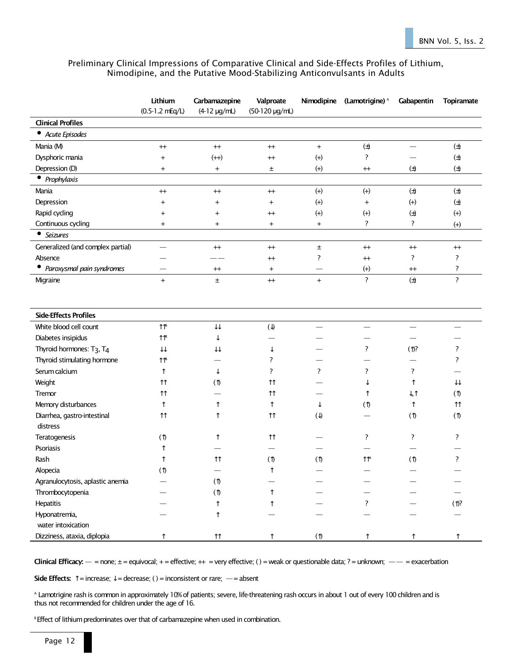### Preliminary Clinical Impressions of Comparative Clinical and Side-Effects Profiles of Lithium, Nimodipine, and the Putative Mood-Stabilizing Anticonvulsants in Adults

|                                                   | Lithium<br>$(0.5-1.2 \text{ mEq/L})$ | Carbamazepine<br>$(4-12 \mu g/ml)$ | Valproate<br>(50-120 µg/mL) |                          | Nimodipine (Lamotrigine) <sup>A</sup> | Gabapentin                | <b>Topiramate</b>  |
|---------------------------------------------------|--------------------------------------|------------------------------------|-----------------------------|--------------------------|---------------------------------------|---------------------------|--------------------|
| <b>Clinical Profiles</b>                          |                                      |                                    |                             |                          |                                       |                           |                    |
| • Acute Episodes                                  |                                      |                                    |                             |                          |                                       |                           |                    |
| Mania (M)                                         | $^{+}$                               | $^{+}$                             | $^{\rm ++}$                 | $+$                      | $(\pm)$                               | $\overline{\phantom{0}}$  | $(\pm)$            |
| Dysphoric mania                                   | $\ddot{}$                            | $(++)$                             | $^{+}$                      | $^{(+)}$                 | ?                                     |                           | $\biguplus$        |
| Depression (D)                                    | $\ddot{}$                            | $\ddot{}$                          | ±                           | $(+)$                    | $^{+}$                                | $(\pm)$                   | $(\pm)$            |
| • Prophylaxis                                     |                                      |                                    |                             |                          |                                       |                           |                    |
| Mania                                             | $^{+}$                               | $^{+}$                             | $^{+}$                      | $(+)$                    | $(+)$                                 | $(\pm)$                   | $(\pm)$            |
| Depression                                        | $\overline{+}$                       | $\overline{+}$                     | $\overline{+}$              | $(+)$                    | $^{+}$                                | $(+)$                     | $\biguplus$        |
| Rapid cycling                                     | $\overline{+}$                       | $\overline{+}$                     | $^{+}$                      | $(+)$                    | $(+)$                                 | $\biguplus$               | $(+)$              |
| Continuous cycling                                | $\overline{+}$                       | $^{+}$                             | $+$                         | $+$                      | ?                                     | ?                         | $(+)$              |
| • Seizures                                        |                                      |                                    |                             |                          |                                       |                           |                    |
| Generalized (and complex partial)                 |                                      | $^{++}$                            | $^{+}$                      | $\pm$                    | $^{++}$                               | $^{++}$                   | $^{++}$            |
| Absence                                           |                                      |                                    | $^{+}$                      | ?                        | $^{+}$                                | ?                         | ?                  |
| • Paroxysmal pain syndromes                       |                                      | $^{++}$                            | $\overline{+}$              |                          | $(+)$                                 | $^{+}$                    | ?                  |
| Migraine                                          | $^{+}$                               | $\pm$                              | $+$                         | $+$                      | $\overline{\cdot}$                    | $(\pm)$                   | $\overline{?}$     |
| <b>Side-Effects Profiles</b>                      |                                      |                                    |                             |                          |                                       |                           |                    |
| White blood cell count                            | $\uparrow\uparrow$ s                 | $\downarrow\downarrow$             | $(\downarrow)$              | $\overline{\phantom{0}}$ |                                       | $\qquad \qquad$           |                    |
| Diabetes insipidus                                | $\uparrow \uparrow$ B                | ↓                                  |                             |                          |                                       |                           |                    |
| Thyroid hormones: T <sub>3</sub> , T <sub>4</sub> | $\downarrow\downarrow$               | $\downarrow\downarrow$             | ↓                           |                          | ?                                     | $(1)$ ?                   | ?                  |
| Thyroid stimulating hormone                       | $\uparrow \uparrow$                  |                                    | ?                           |                          |                                       |                           | ?                  |
| Serum calcium                                     | $\uparrow$                           | ↓                                  | ?                           | ?                        | ?                                     | ?                         |                    |
| Weight                                            | $\uparrow\uparrow$                   | $\circledf$                        | $\uparrow\uparrow$          |                          | ↓                                     | ↑                         | ⇊                  |
| <b>Tremor</b>                                     | $\uparrow\uparrow$                   |                                    | $\uparrow\uparrow$          |                          | ↑                                     | $\downarrow$ , $\uparrow$ | (                  |
| Memory disturbances                               | ↑                                    | ↑                                  | ↑                           | ↓                        | (1)                                   | $\uparrow$                | $\uparrow\uparrow$ |
| Diarrhea, gastro-intestinal<br>distress           | $\uparrow\uparrow$                   | ↑                                  | $\uparrow\uparrow$          | $(\downarrow)$           |                                       | (1)                       | (1)                |
| Teratogenesis                                     | (                                    | ↑                                  | $\uparrow$                  |                          | ?                                     | ?                         | ?                  |
| Psoriasis                                         |                                      |                                    |                             |                          |                                       |                           |                    |
| Rash                                              | ↑                                    | $\uparrow\uparrow$                 | (                           | (1)                      | $\uparrow \uparrow$                   | (1)                       | ?                  |
| Alopecia                                          | $(\uparrow)$                         |                                    | ↑                           |                          |                                       |                           |                    |
| Agranulocytosis, aplastic anemia                  |                                      | (1)                                |                             |                          |                                       |                           |                    |
| Thrombocytopenia                                  |                                      | (                                  |                             |                          |                                       |                           |                    |
| Hepatitis                                         |                                      |                                    |                             |                          |                                       |                           | $($ 1 $)$ ?        |
| Hyponatremia,                                     |                                      | ↑                                  |                             |                          |                                       |                           |                    |
| water intoxication                                |                                      |                                    |                             |                          |                                       |                           |                    |
| Dizziness, ataxia, diplopia                       | ↑                                    | $\uparrow\uparrow$                 |                             | $\circ$                  | ↑                                     | ↑                         |                    |

Clinical Efficacy:  $-$  = none;  $\pm$  = equivocal;  $+$  = effective;  $++$  = very effective; () = weak or questionable data; ? = unknown;  $-$  = exacerbation

Side Effects:  $\uparrow$  = increase;  $\downarrow$  = decrease; () = inconsistent or rare; - = absent

A Lamotrigine rash is common in approximately 10% of patients; severe, life-threatening rash occurs in about 1 out of every 100 children and is thus not recommended for children under the age of 16.

<sup>B</sup> Effect of lithium predominates over that of carbamazepine when used in combination.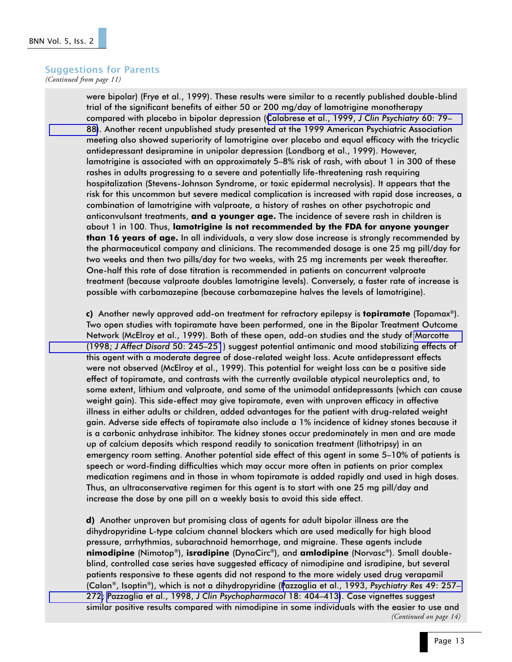## Suggestions for Parents

*(Continued from page 11)*

were bipolar) (Frye et al., 1999). These results were similar to a recently published double-blind trial of the significant benefits of either 50 or 200 mg/day of lamotrigine monotherapy compared with placebo in bipolar depression ([Calabrese et al., 1999,](http://www.ncbi.nlm.nih.gov:80/entrez/query.fcgi?cmd=Retrieve&db=PubMed&list_uids=10084633&dopt=Abstract) J Clin Psychiatry 60: 79 [88\)](http://www.ncbi.nlm.nih.gov:80/entrez/query.fcgi?cmd=Retrieve&db=PubMed&list_uids=10084633&dopt=Abstract). Another recent unpublished study presented at the 1999 American Psychiatric Association meeting also showed superiority of lamotrigine over placebo and equal efficacy with the tricyclic antidepressant desipramine in unipolar depression (Londborg et al., 1999). However, lamotrigine is associated with an approximately 5–8% risk of rash, with about 1 in 300 of these rashes in adults progressing to a severe and potentially life-threatening rash requiring hospitalization (Stevens-Johnson Syndrome, or toxic epidermal necrolysis). It appears that the risk for this uncommon but severe medical complication is increased with rapid dose increases, a combination of lamotrigine with valproate, a history of rashes on other psychotropic and anticonvulsant treatments, and a younger age. The incidence of severe rash in children is about 1 in 100. Thus, lamotrigine is not recommended by the FDA for anyone younger than 16 years of age. In all individuals, a very slow dose increase is strongly recommended by the pharmaceutical company and clinicians. The recommended dosage is one 25 mg pill/day for two weeks and then two pills/day for two weeks, with 25 mg increments per week thereafter. One-half this rate of dose titration is recommended in patients on concurrent valproate treatment (because valproate doubles lamotrigine levels). Conversely, a faster rate of increase is possible with carbamazepine (because carbamazepine halves the levels of lamotrigine).

c) Another newly approved add-on treatment for refractory epilepsy is **topiramate** (Topamax<sup>®</sup>). Two open studies with topiramate have been performed, one in the Bipolar Treatment Outcome Network (McElroy et al., 1999). Both of these open, add-on studies and the study of [Marcotte](http://www.ncbi.nlm.nih.gov:80/entrez/query.fcgi?cmd=Retrieve&db=PubMed&list_uids=9858083&dopt=Abstract) (1998; [J Affect Disord](http://www.ncbi.nlm.nih.gov:80/entrez/query.fcgi?cmd=Retrieve&db=PubMed&list_uids=9858083&dopt=Abstract) 50: 245251) suggest potential antimanic and mood stabilizing effects of this agent with a moderate degree of dose-related weight loss. Acute antidepressant effects were not observed (McElroy et al., 1999). This potential for weight loss can be a positive side effect of topiramate, and contrasts with the currently available atypical neuroleptics and, to some extent, lithium and valproate, and some of the unimodal antidepressants (which can cause weight gain). This side-effect may give topiramate, even with unproven efficacy in affective illness in either adults or children, added advantages for the patient with drug-related weight gain. Adverse side effects of topiramate also include a 1% incidence of kidney stones because it is a carbonic anhydrase inhibitor. The kidney stones occur predominately in men and are made up of calcium deposits which respond readily to sonication treatment (lithotripsy) in an emergency room setting. Another potential side effect of this agent in some 5-10% of patients is speech or word-finding difficulties which may occur more often in patients on prior complex medication regimens and in those in whom topiramate is added rapidly and used in high doses. Thus, an ultraconservative regimen for this agent is to start with one 25 mg pill/day and increase the dose by one pill on a weekly basis to avoid this side effect.

d) Another unproven but promising class of agents for adult bipolar illness are the dihydropyridine L-type calcium channel blockers which are used medically for high blood pressure, arrhythmias, subarachnoid hemorrhage, and migraine. These agents include nimodipine (Nimotop®), isradipine (DynaCirc®), and amlodipine (Norvasc®). Small doubleblind, controlled case series have suggested efficacy of nimodipine and isradipine, but several patients responsive to these agents did not respond to the more widely used drug verapamil (Calan®, Isoptin®), which is not a dihydropyridine ([Pazzaglia et al., 1993,](http://www.ncbi.nlm.nih.gov:80/entrez/query.fcgi?cmd=Retrieve&db=PubMed&list_uids=8177920&dopt=Abstract) Psychiatry Res 49: 257 [272;](http://www.ncbi.nlm.nih.gov:80/entrez/query.fcgi?cmd=Retrieve&db=PubMed&list_uids=8177920&dopt=Abstract) Pazzaglia et al., 1998, [J Clin Psychopharmacol](http://www.ncbi.nlm.nih.gov:80/entrez/query.fcgi?cmd=Retrieve&db=PubMed&list_uids=9790159&dopt=Abstract) 18: 404-413). Case vignettes suggest similar positive results compared with nimodipine in some individuals with the easier to use and *(Continued on page 14)*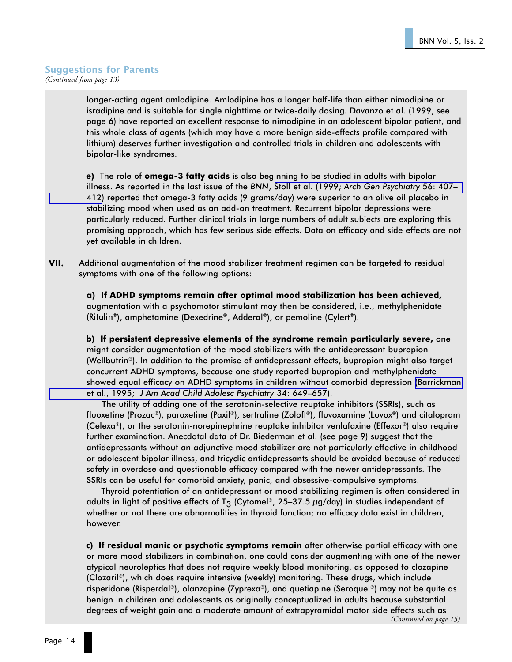### Suggestions for Parents *(Continued from page 13)*

longer-acting agent amlodipine. Amlodipine has a longer half-life than either nimodipine or isradipine and is suitable for single nighttime or twice-daily dosing. Davanzo et al. (1999, see page 6) have reported an excellent response to nimodipine in an adolescent bipolar patient, and this whole class of agents (which may have a more benign side-effects profile compared with lithium) deserves further investigation and controlled trials in children and adolescents with bipolar-like syndromes.

e) The role of omega-3 fatty acids is also beginning to be studied in adults with bipolar illness. As reported in the last issue of the BNN, Stoll et al. (1999; [Arch Gen Psychiatry](http://www.ncbi.nlm.nih.gov:80/entrez/query.fcgi?cmd=Retrieve&db=PubMed&list_uids=10232294&dopt=Abstract) 56: 407 [412\)](http://www.ncbi.nlm.nih.gov:80/entrez/query.fcgi?cmd=Retrieve&db=PubMed&list_uids=10232294&dopt=Abstract) reported that omega-3 fatty acids (9 grams/day) were superior to an olive oil placebo in stabilizing mood when used as an add-on treatment. Recurrent bipolar depressions were particularly reduced. Further clinical trials in large numbers of adult subjects are exploring this promising approach, which has few serious side effects. Data on efficacy and side effects are not yet available in children.

VII. Additional augmentation of the mood stabilizer treatment regimen can be targeted to residual symptoms with one of the following options:

a) If ADHD symptoms remain after optimal mood stabilization has been achieved, augmentation with a psychomotor stimulant may then be considered, i.e., methylphenidate (Ritalin®), amphetamine (Dexedrine®, Adderal®), or pemoline (Cylert®).

b) If persistent depressive elements of the syndrome remain particularly severe, one might consider augmentation of the mood stabilizers with the antidepressant bupropion (Wellbutrin®). In addition to the promise of antidepressant effects, bupropion might also target concurrent ADHD symptoms, because one study reported bupropion and methylphenidate showed equal efficacy on ADHD symptoms in children without comorbid depression [\(Barrickman](http://www.ncbi.nlm.nih.gov:80/entrez/query.fcgi?cmd=Retrieve&db=PubMed&list_uids=7775360&dopt=Abstract) et al., 1995; [J Am Acad Child Adolesc Psychiatry](http://www.ncbi.nlm.nih.gov:80/entrez/query.fcgi?cmd=Retrieve&db=PubMed&list_uids=7775360&dopt=Abstract) 34: 649–657).

The utility of adding one of the serotonin-selective reuptake inhibitors (SSRIs), such as fluoxetine (Prozac®), paroxetine (Paxil®), sertraline (Zoloft®), fluvoxamine (Luvox®) and citalopram (Celexa®), or the serotonin-norepinephrine reuptake inhibitor venlafaxine (Effexor®) also require further examination. Anecdotal data of Dr. Biederman et al. (see page 9) suggest that the antidepressants without an adjunctive mood stabilizer are not particularly effective in childhood or adolescent bipolar illness, and tricyclic antidepressants should be avoided because of reduced safety in overdose and questionable efficacy compared with the newer antidepressants. The SSRIs can be useful for comorbid anxiety, panic, and obsessive-compulsive symptoms.

Thyroid potentiation of an antidepressant or mood stabilizing regimen is often considered in adults in light of positive effects of T<sub>3</sub> (Cytomel®, 25-37.5  $\mu$ g/day) in studies independent of whether or not there are abnormalities in thyroid function; no efficacy data exist in children, however.

c) If residual manic or psychotic symptoms remain after otherwise partial efficacy with one or more mood stabilizers in combination, one could consider augmenting with one of the newer atypical neuroleptics that does not require weekly blood monitoring, as opposed to clozapine (Clozaril®), which does require intensive (weekly) monitoring. These drugs, which include risperidone (Risperdal®), olanzapine (Zyprexa®), and quetiapine (Seroquel®) may not be quite as benign in children and adolescents as originally conceptualized in adults because substantial degrees of weight gain and a moderate amount of extrapyramidal motor side effects such as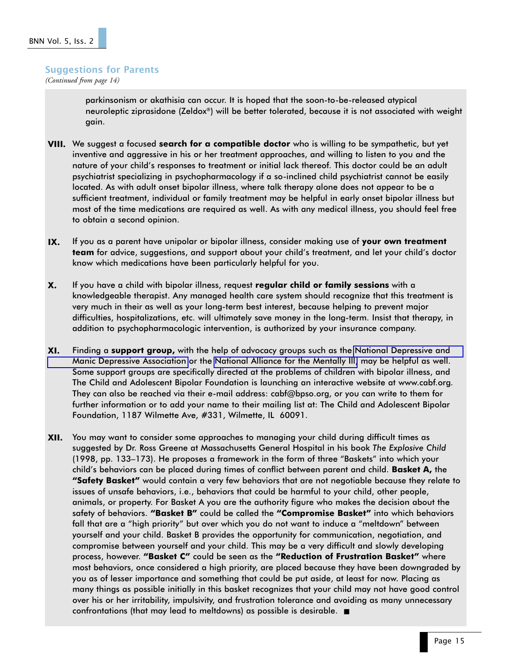#### Suggestions for Parents

*(Continued from page 14)*

parkinsonism or akathisia can occur. It is hoped that the soon-to-be-released atypical neuroleptic ziprasidone (Zeldox®) will be better tolerated, because it is not associated with weight gain.

- **VIII.** We suggest a focused **search for a compatible doctor** who is willing to be sympathetic, but yet inventive and aggressive in his or her treatment approaches, and willing to listen to you and the nature of your child's responses to treatment or initial lack thereof. This doctor could be an adult psychiatrist specializing in psychopharmacology if a so-inclined child psychiatrist cannot be easily located. As with adult onset bipolar illness, where talk therapy alone does not appear to be a sufficient treatment, individual or family treatment may be helpful in early onset bipolar illness but most of the time medications are required as well. As with any medical illness, you should feel free to obtain a second opinion.
- IX. If you as a parent have unipolar or bipolar illness, consider making use of your own treatment team for advice, suggestions, and support about your child's treatment, and let your child's doctor know which medications have been particularly helpful for you.
- X. If you have a child with bipolar illness, request regular child or family sessions with a knowledgeable therapist. Any managed health care system should recognize that this treatment is very much in their as well as your long-term best interest, because helping to prevent major difficulties, hospitalizations, etc. will ultimately save money in the long-term. Insist that therapy, in addition to psychopharmacologic intervention, is authorized by your insurance company.
- XI. Finding a support group, with the help of advocacy groups such as the [National Depressive and](http://www.ndmda.org/) [Manic Depressive Association](http://www.ndmda.org/) or the [National Alliance for the Mentally Ill,](http://www.nami.org/) may be helpful as well. Some support groups are specifically directed at the problems of children with bipolar illness, and The Child and Adolescent Bipolar Foundation is launching an interactive website at www.cabf.org. They can also be reached via their e-mail address: cabf@bpso.org, or you can write to them for further information or to add your name to their mailing list at: The Child and Adolescent Bipolar Foundation, 1187 Wilmette Ave, #331, Wilmette, IL 60091.
- XII. You may want to consider some approaches to managing your child during difficult times as suggested by Dr. Ross Greene at Massachusetts General Hospital in his book The Explosive Child (1998, pp. 133–173). He proposes a framework in the form of three "Baskets" into which your child's behaviors can be placed during times of conflict between parent and child. **Basket A**, the **"Safety Basket"** would contain a very few behaviors that are not negotiable because they relate to issues of unsafe behaviors, i.e., behaviors that could be harmful to your child, other people, animals, or property. For Basket A you are the authority figure who makes the decision about the safety of behaviors. "Basket B" could be called the "Compromise Basket" into which behaviors fall that are a "high priority" but over which you do not want to induce a "meltdown" between yourself and your child. Basket B provides the opportunity for communication, negotiation, and compromise between yourself and your child. This may be a very difficult and slowly developing process, however. "Basket C" could be seen as the "Reduction of Frustration Basket" where most behaviors, once considered a high priority, are placed because they have been downgraded by you as of lesser importance and something that could be put aside, at least for now. Placing as many things as possible initially in this basket recognizes that your child may not have good control over his or her irritability, impulsivity, and frustration tolerance and avoiding as many unnecessary confrontations (that may lead to meltdowns) as possible is desirable. ■